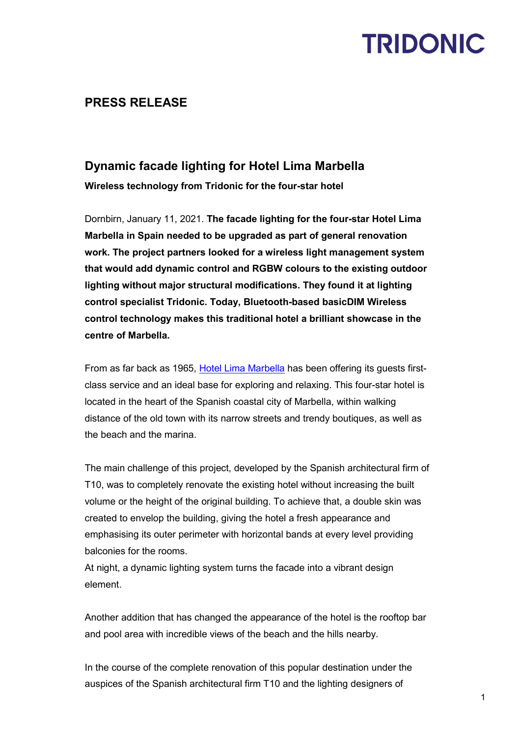### **PRESS RELEASE**

### **Dynamic facade lighting for Hotel Lima Marbella**

**Wireless technology from Tridonic for the four-star hotel** 

Dornbirn, January 11, 2021. **The facade lighting for the four-star Hotel Lima Marbella in Spain needed to be upgraded as part of general renovation work. The project partners looked for a wireless light management system that would add dynamic control and RGBW colours to the existing outdoor lighting without major structural modifications. They found it at lighting control specialist Tridonic. Today, Bluetooth-based basicDIM Wireless control technology makes this traditional hotel a brilliant showcase in the centre of Marbella.**

From as far back as 1965, [Hotel Lima Marbella](https://hotellimamarbella.com/en/) has been offering its guests firstclass service and an ideal base for exploring and relaxing. This four-star hotel is located in the heart of the Spanish coastal city of Marbella, within walking distance of the old town with its narrow streets and trendy boutiques, as well as the beach and the marina.

The main challenge of this project, developed by the Spanish architectural firm of T10, was to completely renovate the existing hotel without increasing the built volume or the height of the original building. To achieve that, a double skin was created to envelop the building, giving the hotel a fresh appearance and emphasising its outer perimeter with horizontal bands at every level providing balconies for the rooms.

At night, a dynamic lighting system turns the facade into a vibrant design element.

Another addition that has changed the appearance of the hotel is the rooftop bar and pool area with incredible views of the beach and the hills nearby.

In the course of the complete renovation of this popular destination under the auspices of the Spanish architectural firm T10 and the lighting designers of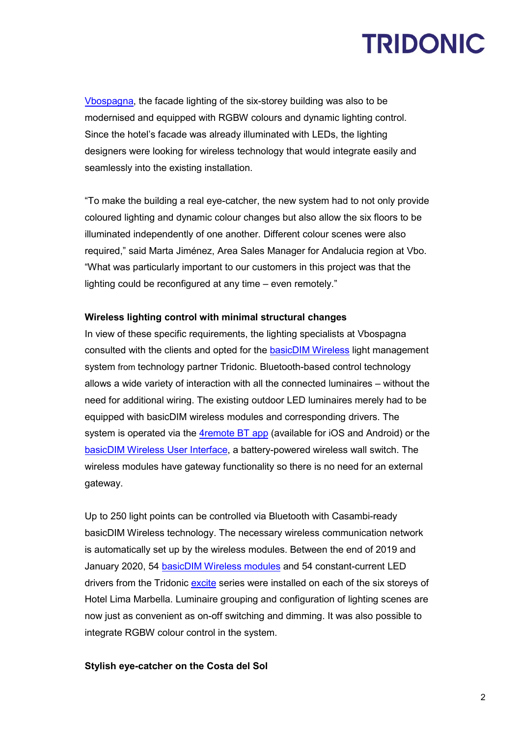[Vbospagna,](http://vbospagna.net/#2) the facade lighting of the six-storey building was also to be modernised and equipped with RGBW colours and dynamic lighting control. Since the hotel's facade was already illuminated with LEDs, the lighting designers were looking for wireless technology that would integrate easily and seamlessly into the existing installation.

"To make the building a real eye-catcher, the new system had to not only provide coloured lighting and dynamic colour changes but also allow the six floors to be illuminated independently of one another. Different colour scenes were also required," said Marta Jiménez, Area Sales Manager for Andalucia region at Vbo. "What was particularly important to our customers in this project was that the lighting could be reconfigured at any time – even remotely."

#### **Wireless lighting control with minimal structural changes**

In view of these specific requirements, the lighting specialists at Vbospagna consulted with the clients and opted for the [basicDIM Wireless](https://www.tridonic.com/com/de/products/basicdim-wireless.asp) light management system from technology partner Tridonic. Bluetooth-based control technology allows a wide variety of interaction with all the connected luminaires – without the need for additional wiring. The existing outdoor LED luminaires merely had to be equipped with basicDIM wireless modules and corresponding drivers. The system is operated via the [4remote BT app](https://www.tridonic.com/com/de/products/app-4remote-bt.asp) (available for iOS and Android) or the [basicDIM Wireless User Interface,](https://www.tridonic.com/com/de/products/basicdim-wireless-user-interface.asp) a battery-powered wireless wall switch. The wireless modules have gateway functionality so there is no need for an external gateway.

Up to 250 light points can be controlled via Bluetooth with Casambi-ready basicDIM Wireless technology. The necessary wireless communication network is automatically set up by the wireless modules. Between the end of 2019 and January 2020, 54 [basicDIM Wireless modules](https://www.tridonic.com/com/de/products/basicdim-wireless-pwm.asp) and 54 constant-current LED drivers from the Tridonic [excite](https://www.tridonic.com/com/de/products/led-driver-lcu-180w-24v-ip20-exc.asp) series were installed on each of the six storeys of Hotel Lima Marbella. Luminaire grouping and configuration of lighting scenes are now just as convenient as on-off switching and dimming. It was also possible to integrate RGBW colour control in the system.

### **Stylish eye-catcher on the Costa del Sol**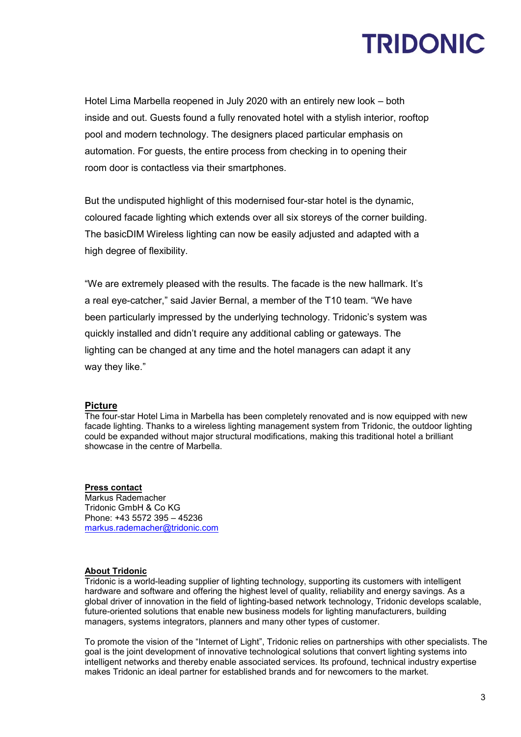Hotel Lima Marbella reopened in July 2020 with an entirely new look – both inside and out. Guests found a fully renovated hotel with a stylish interior, rooftop pool and modern technology. The designers placed particular emphasis on automation. For guests, the entire process from checking in to opening their room door is contactless via their smartphones.

But the undisputed highlight of this modernised four-star hotel is the dynamic, coloured facade lighting which extends over all six storeys of the corner building. The basicDIM Wireless lighting can now be easily adjusted and adapted with a high degree of flexibility.

"We are extremely pleased with the results. The facade is the new hallmark. It's a real eye-catcher," said Javier Bernal, a member of the T10 team. "We have been particularly impressed by the underlying technology. Tridonic's system was quickly installed and didn't require any additional cabling or gateways. The lighting can be changed at any time and the hotel managers can adapt it any way they like."

#### **Picture**

The four-star Hotel Lima in Marbella has been completely renovated and is now equipped with new facade lighting. Thanks to a wireless lighting management system from Tridonic, the outdoor lighting could be expanded without major structural modifications, making this traditional hotel a brilliant showcase in the centre of Marbella.

#### **Press contact**

Markus Rademacher Tridonic GmbH & Co KG Phone: +43 5572 395 – 45236 [markus.rademacher@tridonic.com](mailto:markus.rademacher@tridonic.com)

#### **About Tridonic**

Tridonic is a world-leading supplier of lighting technology, supporting its customers with intelligent hardware and software and offering the highest level of quality, reliability and energy savings. As a global driver of innovation in the field of lighting-based network technology, Tridonic develops scalable, future-oriented solutions that enable new business models for lighting manufacturers, building managers, systems integrators, planners and many other types of customer.

To promote the vision of the "Internet of Light", Tridonic relies on partnerships with other specialists. The goal is the joint development of innovative technological solutions that convert lighting systems into intelligent networks and thereby enable associated services. Its profound, technical industry expertise makes Tridonic an ideal partner for established brands and for newcomers to the market.